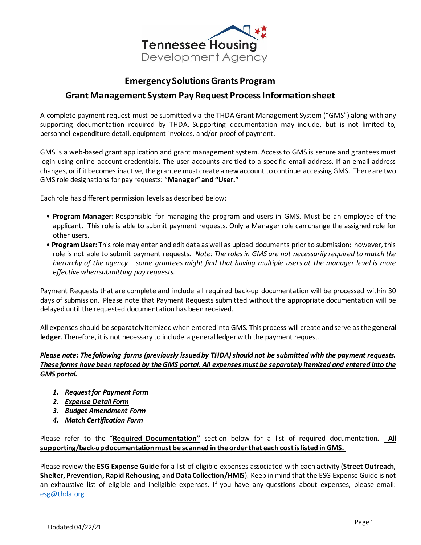

#### **Emergency Solutions Grants Program**

### **Grant Management System Pay Request Process Information sheet**

A complete payment request must be submitted via the THDA Grant Management System ("GMS") along with any supporting documentation required by THDA. Supporting documentation may include, but is not limited to, personnel expenditure detail, equipment invoices, and/or proof of payment.

GMS is a web-based grant application and grant management system. Access to GMS is secure and grantees must login using online account credentials. The user accounts are tied to a specific email address. If an email address changes, or if it becomes inactive, the grantee must create a new account to continue accessing GMS. There are two GMS role designations for pay requests: "**Manager" and "User."**

Each role has different permission levels as described below:

- **Program Manager:** Responsible for managing the program and users in GMS. Must be an employee of the applicant. This role is able to submit payment requests. Only a Manager role can change the assigned role for other users.
- **Program User:** This role may enter and edit data as well as upload documents prior to submission; however, this role is not able to submit payment requests. *Note: The roles in GMS are not necessarily required to match the hierarchy of the agency – some grantees might find that having multiple users at the manager level is more effective when submitting pay requests.*

Payment Requests that are complete and include all required back-up documentation will be processed within 30 days of submission. Please note that Payment Requests submitted without the appropriate documentation will be delayed until the requested documentation has been received.

All expenses should be separately itemized when entered into GMS. This process will create and serve as the **general ledger**. Therefore, it is not necessary to include a general ledger with the payment request.

#### *Please note: The following forms (previously issued by THDA) should not be submitted with the payment requests. These forms have been replaced by the GMS portal. All expenses must be separately itemized and entered into the GMS portal.*

- *1. Request for Payment Form*
- *2. Expense Detail Form*
- *3. Budget Amendment Form*
- *4. Match Certification Form*

Please refer to the "**Required Documentation"** section below for a list of required documentation**. All supporting/back-updocumentation must be scanned in the order that each cost is listed in GMS.** 

Please review the **ESG Expense Guide** for a list of eligible expenses associated with each activity (**Street Outreach, Shelter, Prevention, Rapid Rehousing, and Data Collection/HMIS**). Keep in mind that the ESG Expense Guide is not an exhaustive list of eligible and ineligible expenses. If you have any questions about expenses, please email: [esg@thda.org](mailto:esg@thda.org)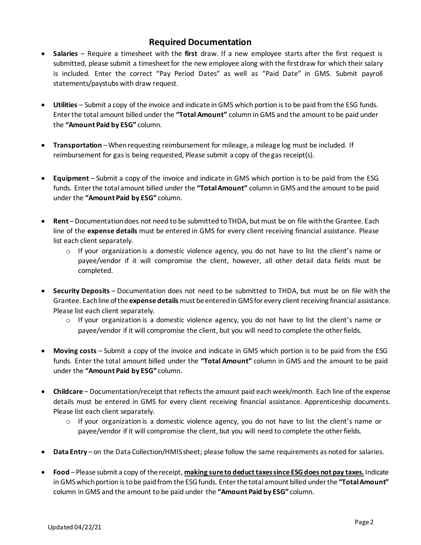## **Required Documentation**

- **Salaries**  Require a timesheet with the **first** draw. If a new employee starts after the first request is submitted, please submit a timesheet for the new employee along with the firstdraw for which their salary is included. Enter the correct "Pay Period Dates" as well as "Paid Date" in GMS. Submit payroll statements/paystubs with draw request.
- **Utilities**  Submit a copy of the invoice and indicate in GMS which portion is to be paid from the ESG funds. Enter the total amount billed under the **"Total Amount"** column in GMS and the amount to be paid under the **"Amount Paid by ESG"** column.
- **Transportation** When requesting reimbursement for mileage, a mileage log must be included. If reimbursement for gas is being requested, Please submit a copy of the gas receipt(s).
- **Equipment**  Submit a copy of the invoice and indicate in GMS which portion is to be paid from the ESG funds. Enter the total amount billed under the **"Total Amount"** column in GMS and the amount to be paid under the **"Amount Paid by ESG"** column.
- **Rent** Documentation does not need to be submitted to THDA, but must be on file with the Grantee. Each line of the **expense details** must be entered in GMS for every client receiving financial assistance. Please list each client separately.
	- $\circ$  If your organization is a domestic violence agency, you do not have to list the client's name or payee/vendor if it will compromise the client, however, all other detail data fields must be completed.
- **Security Deposits**  Documentation does not need to be submitted to THDA, but must be on file with the Grantee. Each line of the **expense details** must be entered in GMSfor every client receiving financial assistance. Please list each client separately.
	- $\circ$  If your organization is a domestic violence agency, you do not have to list the client's name or payee/vendor if it will compromise the client, but you will need to complete the other fields.
- **Moving costs**  Submit a copy of the invoice and indicate in GMS which portion is to be paid from the ESG funds. Enter the total amount billed under the **"Total Amount"** column in GMS and the amount to be paid under the **"Amount Paid by ESG"** column.
- **Childcare**  Documentation/receipt that reflects the amount paid each week/month. Each line of the expense details must be entered in GMS for every client receiving financial assistance. Apprenticeship documents. Please list each client separately.
	- $\circ$  If your organization is a domestic violence agency, you do not have to list the client's name or payee/vendor if it will compromise the client, but you will need to complete the other fields.
- **Data Entry**  on the Data Collection/HMIS sheet; please follow the same requirements as noted for salaries.
- **Food**  Please submit a copy of the receipt, **making sure to deduct taxes since ESG does not pay taxes.** Indicate in GMS which portion is to be paid from the ESG funds. Enter the total amount billed under the **"Total Amount"** column in GMS and the amount to be paid under the **"Amount Paid by ESG"** column.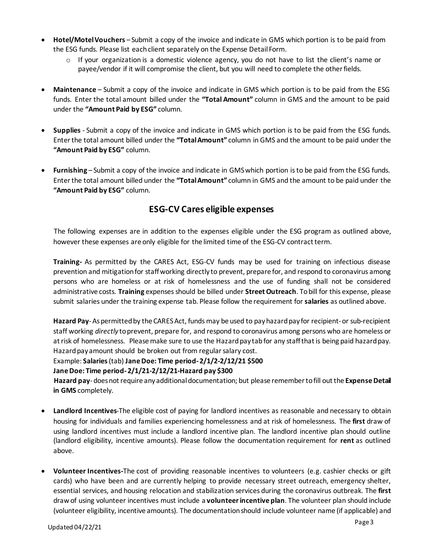- **Hotel/Motel Vouchers**  Submit a copy of the invoice and indicate in GMS which portion is to be paid from the ESG funds. Please list each client separately on the Expense Detail Form.
	- $\circ$  If your organization is a domestic violence agency, you do not have to list the client's name or payee/vendor if it will compromise the client, but you will need to complete the other fields.
- **Maintenance**  Submit a copy of the invoice and indicate in GMS which portion is to be paid from the ESG funds. Enter the total amount billed under the **"Total Amount"** column in GMS and the amount to be paid under the **"Amount Paid by ESG"** column.
- **Supplies**  Submit a copy of the invoice and indicate in GMS which portion is to be paid from the ESG funds. Enter the total amount billed under the **"Total Amount"** column in GMS and the amount to be paid under the **"Amount Paid by ESG"** column.
- **Furnishing**  Submit a copy of the invoice and indicate in GMS which portion is to be paid from the ESG funds. Enter the total amount billed under the **"Total Amount"** column in GMS and the amount to be paid under the **"Amount Paid by ESG"** column.

# **ESG-CV Cares eligible expenses**

The following expenses are in addition to the expenses eligible under the ESG program as outlined above, however these expenses are only eligible for the limited time of the ESG-CV contract term.

**Training-** As permitted by the CARES Act, ESG-CV funds may be used for training on infectious disease prevention and mitigation for staff working directly to prevent, prepare for, and respond to coronavirus among persons who are homeless or at risk of homelessness and the use of funding shall not be considered administrative costs. **Training** expenses should be billed under **Street Outreach**. To bill for this expense, please submit salaries under the training expense tab. Please follow the requirement for **salaries** as outlined above.

**Hazard Pay**-As permitted by the CARES Act, funds may be used to pay hazard pay for recipient-or sub-recipient staff working *directly* to prevent, prepare for, and respond to coronavirus among persons who are homeless or at risk of homelessness. Please make sure to use the Hazard pay tab for any staff that is being paid hazard pay. Hazard pay amount should be broken out from regular salary cost.

Example: **Salaries**(tab) **Jane Doe: Time period-2/1/2-2/12/21 \$500** 

**Jane Doe: Time period-2/1/21-2/12/21-Hazard pay \$300**

**Hazard pay**-does not require any additional documentation; but please remember to fill out the **Expense Detail in GMS** completely.

- **Landlord Incentives**-The eligible cost of paying for landlord incentives as reasonable and necessary to obtain housing for individuals and families experiencing homelessness and at risk of homelessness. The **first** draw of using landlord incentives must include a landlord incentive plan. The landlord incentive plan should outline (landlord eligibility, incentive amounts). Please follow the documentation requirement for **rent** as outlined above.
- **Volunteer Incentives-**The cost of providing reasonable incentives to volunteers (e.g. cashier checks or gift cards) who have been and are currently helping to provide necessary street outreach, emergency shelter, essential services, and housing relocation and stabilization services during the coronavirus outbreak. The **first** draw of using volunteer incentives must include a **volunteer incentive plan**. The volunteer plan should include (volunteer eligibility, incentive amounts). The documentation should include volunteer name (if applicable) and